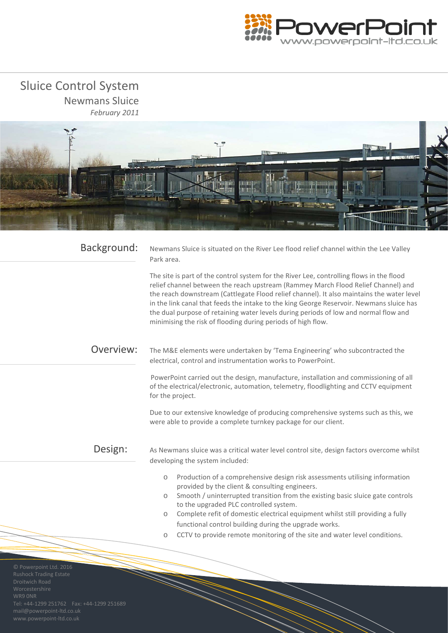

 Sluice Control System Newmans Sluice *February 2011*



| Background:                                      | Newmans Sluice is situated on the River Lee flood relief channel within the Lee Valley<br>Park area.                                                                                                                                                                                                                                                                                                                                                                                                                           |
|--------------------------------------------------|--------------------------------------------------------------------------------------------------------------------------------------------------------------------------------------------------------------------------------------------------------------------------------------------------------------------------------------------------------------------------------------------------------------------------------------------------------------------------------------------------------------------------------|
|                                                  | The site is part of the control system for the River Lee, controlling flows in the flood<br>relief channel between the reach upstream (Rammey March Flood Relief Channel) and<br>the reach downstream (Cattlegate Flood relief channel). It also maintains the water level<br>in the link canal that feeds the intake to the king George Reservoir. Newmans sluice has<br>the dual purpose of retaining water levels during periods of low and normal flow and<br>minimising the risk of flooding during periods of high flow. |
| Overview:                                        | The M&E elements were undertaken by 'Tema Engineering' who subcontracted the<br>electrical, control and instrumentation works to PowerPoint.                                                                                                                                                                                                                                                                                                                                                                                   |
|                                                  | PowerPoint carried out the design, manufacture, installation and commissioning of all<br>of the electrical/electronic, automation, telemetry, floodlighting and CCTV equipment<br>for the project.                                                                                                                                                                                                                                                                                                                             |
|                                                  | Due to our extensive knowledge of producing comprehensive systems such as this, we<br>were able to provide a complete turnkey package for our client.                                                                                                                                                                                                                                                                                                                                                                          |
| Design:                                          | As Newmans sluice was a critical water level control site, design factors overcome whilst<br>developing the system included:                                                                                                                                                                                                                                                                                                                                                                                                   |
|                                                  | Production of a comprehensive design risk assessments utilising information<br>$\bigcirc$<br>provided by the client & consulting engineers.                                                                                                                                                                                                                                                                                                                                                                                    |
|                                                  | Smooth / uninterrupted transition from the existing basic sluice gate controls<br>$\bigcirc$<br>to the upgraded PLC controlled system.                                                                                                                                                                                                                                                                                                                                                                                         |
|                                                  | Complete refit of domestic electrical equipment whilst still providing a fully<br>$\circ$<br>functional control building during the upgrade works.                                                                                                                                                                                                                                                                                                                                                                             |
|                                                  | CCTV to provide remote monitoring of the site and water level conditions.<br>$\bigcirc$                                                                                                                                                                                                                                                                                                                                                                                                                                        |
|                                                  |                                                                                                                                                                                                                                                                                                                                                                                                                                                                                                                                |
| D Powerpoint Ltd. 2016<br>Rushock Trading Estate |                                                                                                                                                                                                                                                                                                                                                                                                                                                                                                                                |

mail@powerpoint-ltd.co.uk